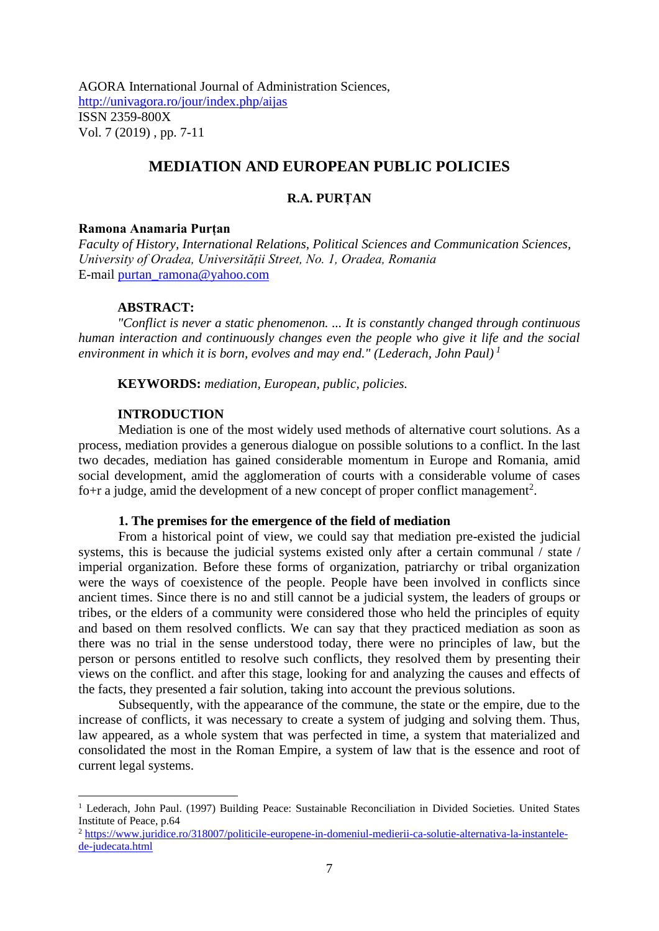AGORA International Journal of Administration Sciences, <http://univagora.ro/jour/index.php/aijas> ISSN 2359-800X Vol. 7 (2019) , pp. 7-11

# **MEDIATION AND EUROPEAN PUBLIC POLICIES**

# **R.A. PURȚAN**

## **Ramona Anamaria Purțan**

*Faculty of History, International Relations, Political Sciences and Communication Sciences, University of Oradea, Universității Street, No. 1, Oradea, Romania* E-mail [purtan\\_ramona@yahoo.com](mailto:purtan_ramona@yahoo.com)

## **ABSTRACT:**

*"Conflict is never a static phenomenon. ... It is constantly changed through continuous human interaction and continuously changes even the people who give it life and the social environment in which it is born, evolves and may end." (Lederach, John Paul) 1*

**KEYWORDS:** *mediation, European, public, policies.*

### **INTRODUCTION**

Mediation is one of the most widely used methods of alternative court solutions. As a process, mediation provides a generous dialogue on possible solutions to a conflict. In the last two decades, mediation has gained considerable momentum in Europe and Romania, amid social development, amid the agglomeration of courts with a considerable volume of cases fo+r a judge, amid the development of a new concept of proper conflict management<sup>2</sup>.

## **1. The premises for the emergence of the field of mediation**

From a historical point of view, we could say that mediation pre-existed the judicial systems, this is because the judicial systems existed only after a certain communal / state / imperial organization. Before these forms of organization, patriarchy or tribal organization were the ways of coexistence of the people. People have been involved in conflicts since ancient times. Since there is no and still cannot be a judicial system, the leaders of groups or tribes, or the elders of a community were considered those who held the principles of equity and based on them resolved conflicts. We can say that they practiced mediation as soon as there was no trial in the sense understood today, there were no principles of law, but the person or persons entitled to resolve such conflicts, they resolved them by presenting their views on the conflict. and after this stage, looking for and analyzing the causes and effects of the facts, they presented a fair solution, taking into account the previous solutions.

Subsequently, with the appearance of the commune, the state or the empire, due to the increase of conflicts, it was necessary to create a system of judging and solving them. Thus, law appeared, as a whole system that was perfected in time, a system that materialized and consolidated the most in the Roman Empire, a system of law that is the essence and root of current legal systems.

<sup>&</sup>lt;sup>1</sup> Lederach, John Paul. (1997) Building Peace: Sustainable Reconciliation in Divided Societies. United States Institute of Peace, p.64

<sup>2</sup> [https://www.juridice.ro/318007/politicile-europene-in-domeniul-medierii-ca-solutie-alternativa-la-instantele](https://www.juridice.ro/318007/politicile-europene-in-domeniul-medierii-ca-solutie-alternativa-la-instantele-de-judecata.html)[de-judecata.html](https://www.juridice.ro/318007/politicile-europene-in-domeniul-medierii-ca-solutie-alternativa-la-instantele-de-judecata.html)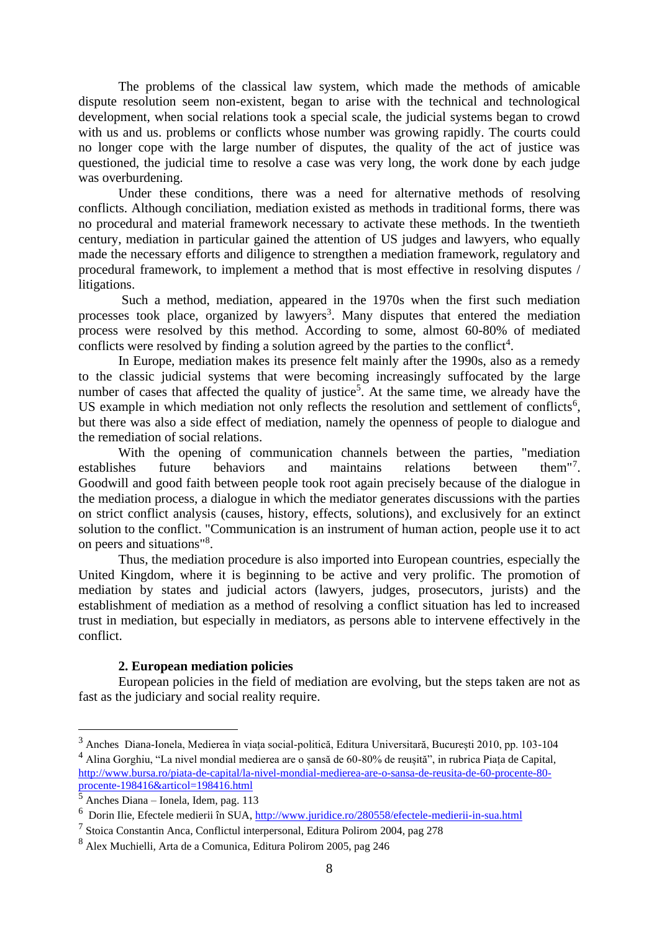The problems of the classical law system, which made the methods of amicable dispute resolution seem non-existent, began to arise with the technical and technological development, when social relations took a special scale, the judicial systems began to crowd with us and us. problems or conflicts whose number was growing rapidly. The courts could no longer cope with the large number of disputes, the quality of the act of justice was questioned, the judicial time to resolve a case was very long, the work done by each judge was overburdening.

Under these conditions, there was a need for alternative methods of resolving conflicts. Although conciliation, mediation existed as methods in traditional forms, there was no procedural and material framework necessary to activate these methods. In the twentieth century, mediation in particular gained the attention of US judges and lawyers, who equally made the necessary efforts and diligence to strengthen a mediation framework, regulatory and procedural framework, to implement a method that is most effective in resolving disputes / litigations.

Such a method, mediation, appeared in the 1970s when the first such mediation processes took place, organized by lawyers<sup>3</sup>. Many disputes that entered the mediation process were resolved by this method. According to some, almost 60-80% of mediated conflicts were resolved by finding a solution agreed by the parties to the conflict<sup>4</sup>.

In Europe, mediation makes its presence felt mainly after the 1990s, also as a remedy to the classic judicial systems that were becoming increasingly suffocated by the large number of cases that affected the quality of justice<sup>5</sup>. At the same time, we already have the US example in which mediation not only reflects the resolution and settlement of conflicts<sup>6</sup>, but there was also a side effect of mediation, namely the openness of people to dialogue and the remediation of social relations.

With the opening of communication channels between the parties, "mediation establishes future behaviors and maintains relations between them<sup>"7</sup> them" $^7$ . Goodwill and good faith between people took root again precisely because of the dialogue in the mediation process, a dialogue in which the mediator generates discussions with the parties on strict conflict analysis (causes, history, effects, solutions), and exclusively for an extinct solution to the conflict. "Communication is an instrument of human action, people use it to act on peers and situations"<sup>8</sup> .

Thus, the mediation procedure is also imported into European countries, especially the United Kingdom, where it is beginning to be active and very prolific. The promotion of mediation by states and judicial actors (lawyers, judges, prosecutors, jurists) and the establishment of mediation as a method of resolving a conflict situation has led to increased trust in mediation, but especially in mediators, as persons able to intervene effectively in the conflict.

# **2. European mediation policies**

European policies in the field of mediation are evolving, but the steps taken are not as fast as the judiciary and social reality require.

<sup>3</sup> Anches Diana-Ionela, Medierea în viața social-politică, Editura Universitară, București 2010, pp. 103-104

<sup>4</sup> Alina Gorghiu, "La nivel mondial medierea are o șansă de 60-80% de reușită", in rubrica Piața de Capital, [http://www.bursa.ro/piata-de-capital/la-nivel-mondial-medierea-are-o-sansa-de-reusita-de-60-procente-80](http://www.bursa.ro/piata-de-capital/la-nivel-mondial-medierea-are-o-sansa-de-reusita-de-60-procente-80-procente-198416&articol=198416.html) [procente-198416&articol=198416.html](http://www.bursa.ro/piata-de-capital/la-nivel-mondial-medierea-are-o-sansa-de-reusita-de-60-procente-80-procente-198416&articol=198416.html)

 $\frac{5}{5}$  Anches Diana – Ionela, Idem, pag. 113

<sup>&</sup>lt;sup>6</sup> Dorin Ilie, Efectele medierii în SUA,<http://www.juridice.ro/280558/efectele-medierii-in-sua.html>

<sup>&</sup>lt;sup>7</sup> Stoica Constantin Anca, Conflictul interpersonal, Editura Polirom 2004, pag 278

<sup>8</sup> Alex Muchielli, Arta de a Comunica, Editura Polirom 2005, pag 246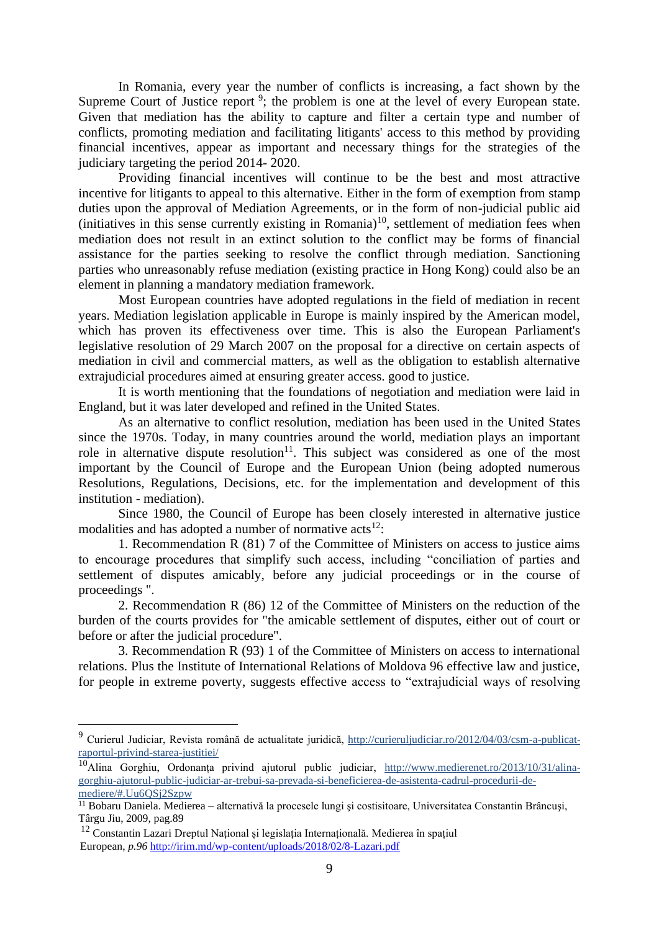In Romania, every year the number of conflicts is increasing, a fact shown by the Supreme Court of Justice report<sup>9</sup>; the problem is one at the level of every European state. Given that mediation has the ability to capture and filter a certain type and number of conflicts, promoting mediation and facilitating litigants' access to this method by providing financial incentives, appear as important and necessary things for the strategies of the judiciary targeting the period 2014- 2020.

Providing financial incentives will continue to be the best and most attractive incentive for litigants to appeal to this alternative. Either in the form of exemption from stamp duties upon the approval of Mediation Agreements, or in the form of non-judicial public aid (initiatives in this sense currently existing in Romania)<sup>10</sup>, settlement of mediation fees when mediation does not result in an extinct solution to the conflict may be forms of financial assistance for the parties seeking to resolve the conflict through mediation. Sanctioning parties who unreasonably refuse mediation (existing practice in Hong Kong) could also be an element in planning a mandatory mediation framework.

Most European countries have adopted regulations in the field of mediation in recent years. Mediation legislation applicable in Europe is mainly inspired by the American model, which has proven its effectiveness over time. This is also the European Parliament's legislative resolution of 29 March 2007 on the proposal for a directive on certain aspects of mediation in civil and commercial matters, as well as the obligation to establish alternative extrajudicial procedures aimed at ensuring greater access. good to justice.

It is worth mentioning that the foundations of negotiation and mediation were laid in England, but it was later developed and refined in the United States.

As an alternative to conflict resolution, mediation has been used in the United States since the 1970s. Today, in many countries around the world, mediation plays an important role in alternative dispute resolution<sup>11</sup>. This subject was considered as one of the most important by the Council of Europe and the European Union (being adopted numerous Resolutions, Regulations, Decisions, etc. for the implementation and development of this institution - mediation).

Since 1980, the Council of Europe has been closely interested in alternative justice modalities and has adopted a number of normative  $\arctan(12)$ :

1. Recommendation R (81) 7 of the Committee of Ministers on access to justice aims to encourage procedures that simplify such access, including "conciliation of parties and settlement of disputes amicably, before any judicial proceedings or in the course of proceedings ".

2. Recommendation R (86) 12 of the Committee of Ministers on the reduction of the burden of the courts provides for "the amicable settlement of disputes, either out of court or before or after the judicial procedure".

3. Recommendation R (93) 1 of the Committee of Ministers on access to international relations. Plus the Institute of International Relations of Moldova 96 effective law and justice, for people in extreme poverty, suggests effective access to "extrajudicial ways of resolving

<sup>9</sup> Curierul Judiciar, Revista română de actualitate juridică, http://curieruljudiciar.ro/2012/04/03/csm-a-publicatraportul-privind-starea-justitiei/

<sup>&</sup>lt;sup>10</sup>Alina Gorghiu, Ordonanța privind ajutorul public judiciar, [http://www.medierenet.ro/2013/10/31/alina](http://www.medierenet.ro/2013/10/31/alina-gorghiu-ajutorul-public-judiciar-ar-trebui-sa-prevada-si-beneficierea-de-asistenta-cadrul-procedurii-de-mediere/#.Uu6QSj2Szpw)[gorghiu-ajutorul-public-judiciar-ar-trebui-sa-prevada-si-beneficierea-de-asistenta-cadrul-procedurii-de](http://www.medierenet.ro/2013/10/31/alina-gorghiu-ajutorul-public-judiciar-ar-trebui-sa-prevada-si-beneficierea-de-asistenta-cadrul-procedurii-de-mediere/#.Uu6QSj2Szpw)[mediere/#.Uu6QSj2Szpw](http://www.medierenet.ro/2013/10/31/alina-gorghiu-ajutorul-public-judiciar-ar-trebui-sa-prevada-si-beneficierea-de-asistenta-cadrul-procedurii-de-mediere/#.Uu6QSj2Szpw)

<sup>&</sup>lt;sup>11</sup> Bobaru Daniela. Medierea – alternativă la procesele lungi și costisitoare, Universitatea Constantin Brâncuși, Târgu Jiu, 2009, pag.89

<sup>12</sup> Constantin Lazari Dreptul Național și legislația Internațională. Medierea în spațiul European, *p.96* <http://irim.md/wp-content/uploads/2018/02/8-Lazari.pdf>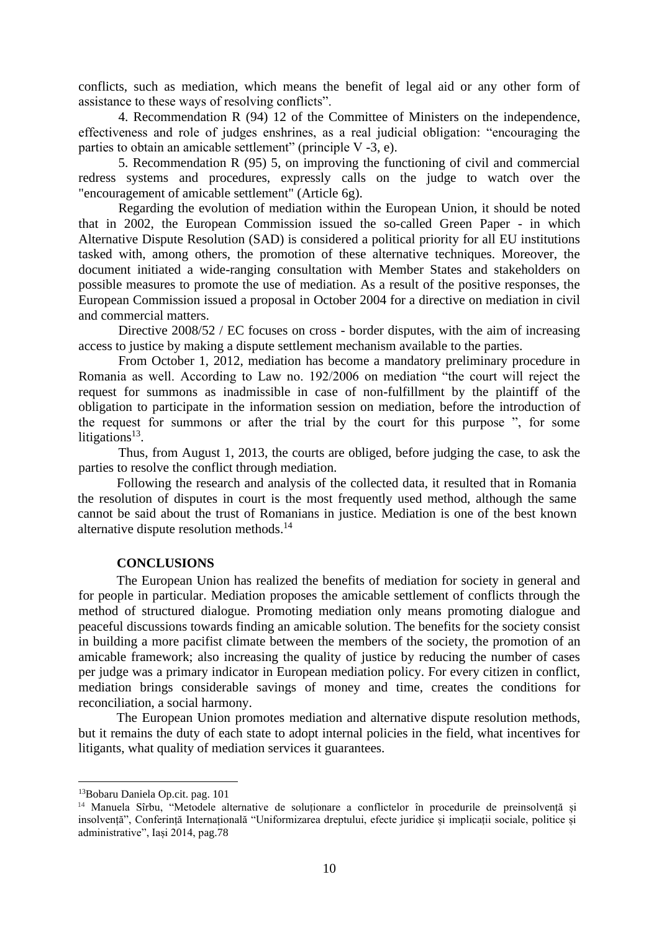conflicts, such as mediation, which means the benefit of legal aid or any other form of assistance to these ways of resolving conflicts".

4. Recommendation R (94) 12 of the Committee of Ministers on the independence, effectiveness and role of judges enshrines, as a real judicial obligation: "encouraging the parties to obtain an amicable settlement" (principle V -3, e).

5. Recommendation R (95) 5, on improving the functioning of civil and commercial redress systems and procedures, expressly calls on the judge to watch over the "encouragement of amicable settlement" (Article 6g).

Regarding the evolution of mediation within the European Union, it should be noted that in 2002, the European Commission issued the so-called Green Paper - in which Alternative Dispute Resolution (SAD) is considered a political priority for all EU institutions tasked with, among others, the promotion of these alternative techniques. Moreover, the document initiated a wide-ranging consultation with Member States and stakeholders on possible measures to promote the use of mediation. As a result of the positive responses, the European Commission issued a proposal in October 2004 for a directive on mediation in civil and commercial matters.

Directive 2008/52 / EC focuses on cross - border disputes, with the aim of increasing access to justice by making a dispute settlement mechanism available to the parties.

From October 1, 2012, mediation has become a mandatory preliminary procedure in Romania as well. According to Law no. 192/2006 on mediation "the court will reject the request for summons as inadmissible in case of non-fulfillment by the plaintiff of the obligation to participate in the information session on mediation, before the introduction of the request for summons or after the trial by the court for this purpose ", for some litigations $13$ .

Thus, from August 1, 2013, the courts are obliged, before judging the case, to ask the parties to resolve the conflict through mediation.

Following the research and analysis of the collected data, it resulted that in Romania the resolution of disputes in court is the most frequently used method, although the same cannot be said about the trust of Romanians in justice. Mediation is one of the best known alternative dispute resolution methods.<sup>14</sup>

# **CONCLUSIONS**

The European Union has realized the benefits of mediation for society in general and for people in particular. Mediation proposes the amicable settlement of conflicts through the method of structured dialogue. Promoting mediation only means promoting dialogue and peaceful discussions towards finding an amicable solution. The benefits for the society consist in building a more pacifist climate between the members of the society, the promotion of an amicable framework; also increasing the quality of justice by reducing the number of cases per judge was a primary indicator in European mediation policy. For every citizen in conflict, mediation brings considerable savings of money and time, creates the conditions for reconciliation, a social harmony.

The European Union promotes mediation and alternative dispute resolution methods, but it remains the duty of each state to adopt internal policies in the field, what incentives for litigants, what quality of mediation services it guarantees.

<sup>13</sup>Bobaru Daniela Op.cit. pag. 101

<sup>&</sup>lt;sup>14</sup> Manuela Sîrbu, "Metodele alternative de soluționare a conflictelor în procedurile de preinsolvență și insolvență", Conferință Internațională "Uniformizarea dreptului, efecte juridice și implicații sociale, politice și administrative", Iași 2014, pag.78